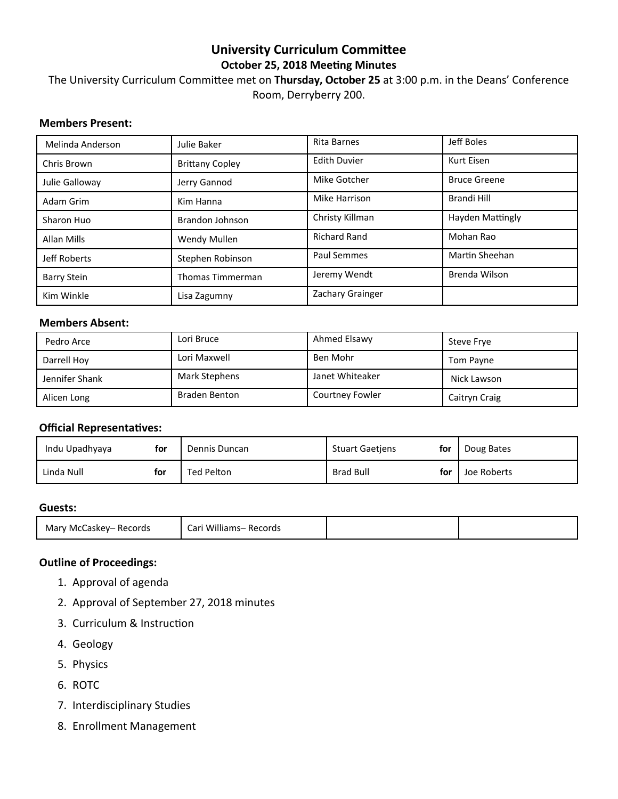# **University Curriculum Committee October 25, 2018 Meeting Minutes**

# The University Curriculum Committee met on Thursday, October 25 at 3:00 p.m. in the Deans' Conference Room, Derryberry 200.

# **Members Present:**

| Melinda Anderson   | Julie Baker             | <b>Rita Barnes</b>  | Jeff Boles              |
|--------------------|-------------------------|---------------------|-------------------------|
| Chris Brown        | <b>Brittany Copley</b>  | <b>Edith Duvier</b> | Kurt Eisen              |
| Julie Galloway     | Jerry Gannod            | Mike Gotcher        | <b>Bruce Greene</b>     |
| Adam Grim          | Kim Hanna               | Mike Harrison       | Brandi Hill             |
| Sharon Huo         | Brandon Johnson         | Christy Killman     | <b>Hayden Mattingly</b> |
| <b>Allan Mills</b> | Wendy Mullen            | <b>Richard Rand</b> | Mohan Rao               |
| Jeff Roberts       | Stephen Robinson        | Paul Semmes         | Martin Sheehan          |
| <b>Barry Stein</b> | <b>Thomas Timmerman</b> | Jeremy Wendt        | Brenda Wilson           |
| Kim Winkle         | Lisa Zagumny            | Zachary Grainger    |                         |

### **Members Absent:**

| Pedro Arce     | Lori Bruce           | Ahmed Elsawy    | Steve Frye    |
|----------------|----------------------|-----------------|---------------|
| Darrell Hoy    | Lori Maxwell         | Ben Mohr        | Tom Payne     |
| Jennifer Shank | <b>Mark Stephens</b> | Janet Whiteaker | Nick Lawson   |
| Alicen Long    | Braden Benton        | Courtney Fowler | Caitryn Craig |

# **Official Representatives:**

| Indu Upadhyaya | for | Dennis Duncan | <b>Stuart Gaetiens</b> | for | Doug Bates  |
|----------------|-----|---------------|------------------------|-----|-------------|
| Linda Null     | for | Ted Pelton    | <b>Brad Bull</b>       | for | Joe Roberts |

#### **Guests:**

|--|

# **Outline of Proceedings:**

- 1. Approval of agenda
- 2. Approval of September 27, 2018 minutes
- 3. Curriculum & Instruction
- 4. Geology
- 5. Physics
- 6. ROTC
- 7. Interdisciplinary Studies
- 8. Enrollment Management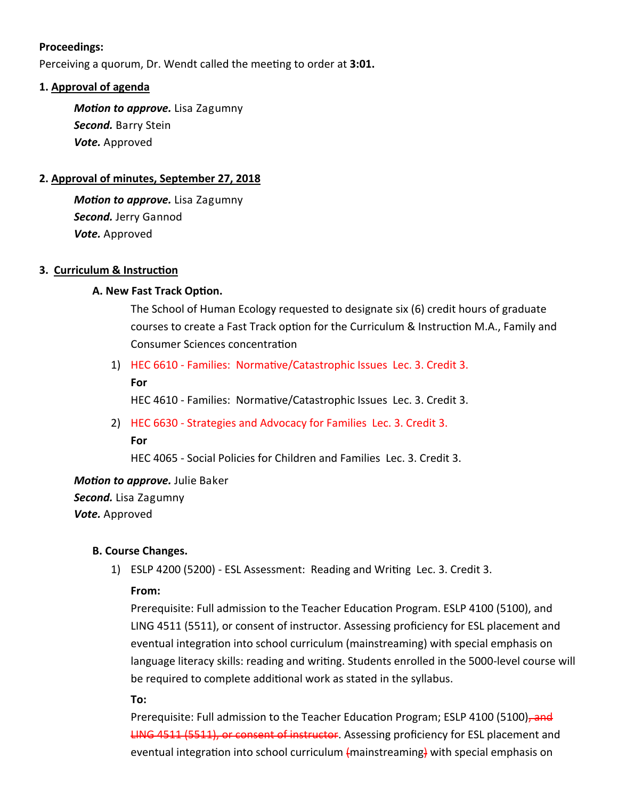# **Proceedings:**

Perceiving a quorum, Dr. Wendt called the meeting to order at 3:01.

# **1. Approval of agenda**

*Motion to approve. Lisa Zagumny Second.* Barry Stein *Vote.* Approved

# **2. Approval of minutes, September 27, 2018**

*Motion to approve. Lisa Zagumny Second.* Jerry Gannod *Vote.* Approved

# **3. Curriculum & Instruction**

# **A. New Fast Track Option.**

The School of Human Ecology requested to designate six (6) credit hours of graduate courses to create a Fast Track option for the Curriculum & Instruction M.A., Family and Consumer Sciences concentration

- 1) HEC 6610 Families: Normative/Catastrophic Issues Lec. 3. Credit 3.
	- **For**

HEC 4610 - Families: Normative/Catastrophic Issues Lec. 3. Credit 3.

2) HEC 6630 ‐ Strategies and Advocacy for Families Lec. 3. Credit 3.

HEC 4065 ‐ Social Policies for Children and Families Lec. 3. Credit 3.

*Motion to approve.* Julie Baker *Second.* Lisa Zagumny *Vote.* Approved

# **B. Course Changes.**

1) ESLP 4200 (5200) - ESL Assessment: Reading and Writing Lec. 3. Credit 3.

# **From:**

Prerequisite: Full admission to the Teacher Education Program. ESLP 4100 (5100), and LING 4511 (5511), or consent of instructor. Assessing proficiency for ESL placement and eventual integration into school curriculum (mainstreaming) with special emphasis on language literacy skills: reading and writing. Students enrolled in the 5000-level course will be required to complete additional work as stated in the syllabus.

**To:** 

Prerequisite: Full admission to the Teacher Education Program; ESLP 4100 (5100), and LING 4511 (5511), or consent of instructor. Assessing proficiency for ESL placement and eventual integration into school curriculum (mainstreaming) with special emphasis on

**For**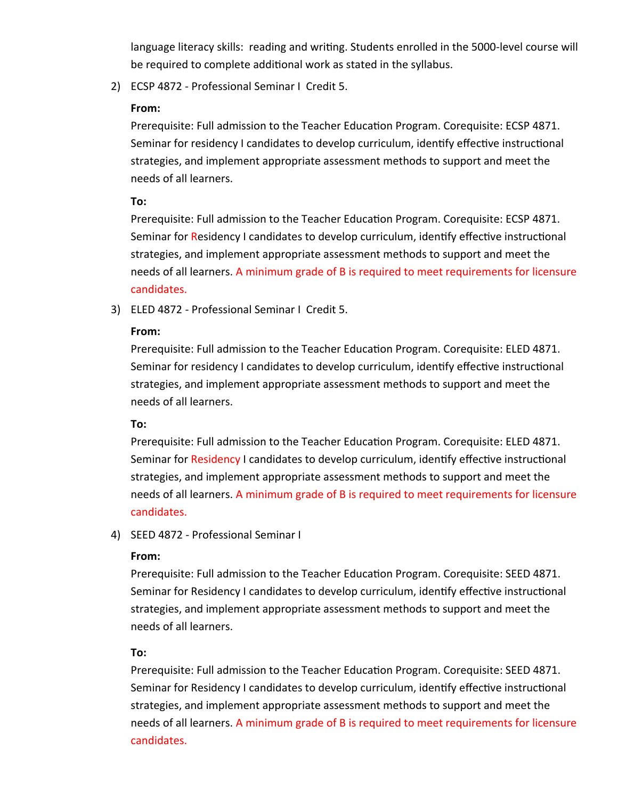language literacy skills: reading and writing. Students enrolled in the 5000-level course will be required to complete additional work as stated in the syllabus.

2) ECSP 4872 ‐ Professional Seminar I Credit 5.

# **From:**

Prerequisite: Full admission to the Teacher Education Program. Corequisite: ECSP 4871. Seminar for residency I candidates to develop curriculum, identify effective instructional strategies, and implement appropriate assessment methods to support and meet the needs of all learners.

# **To:**

Prerequisite: Full admission to the Teacher Education Program. Corequisite: ECSP 4871. Seminar for Residency I candidates to develop curriculum, identify effective instructional strategies, and implement appropriate assessment methods to support and meet the needs of all learners. A minimum grade of B is required to meet requirements for licensure candidates.

3) ELED 4872 ‐ Professional Seminar I Credit 5.

# **From:**

Prerequisite: Full admission to the Teacher Education Program. Corequisite: ELED 4871. Seminar for residency I candidates to develop curriculum, identify effective instructional strategies, and implement appropriate assessment methods to support and meet the needs of all learners.

# **To:**

Prerequisite: Full admission to the Teacher Education Program. Corequisite: ELED 4871. Seminar for Residency I candidates to develop curriculum, identify effective instructional strategies, and implement appropriate assessment methods to support and meet the needs of all learners. A minimum grade of B is required to meet requirements for licensure candidates.

# 4) SEED 4872 ‐ Professional Seminar I

# **From:**

Prerequisite: Full admission to the Teacher Education Program. Corequisite: SEED 4871. Seminar for Residency I candidates to develop curriculum, identify effective instructional strategies, and implement appropriate assessment methods to support and meet the needs of all learners.

# **To:**

Prerequisite: Full admission to the Teacher Education Program. Corequisite: SEED 4871. Seminar for Residency I candidates to develop curriculum, identify effective instructional strategies, and implement appropriate assessment methods to support and meet the needs of all learners. A minimum grade of B is required to meet requirements for licensure candidates.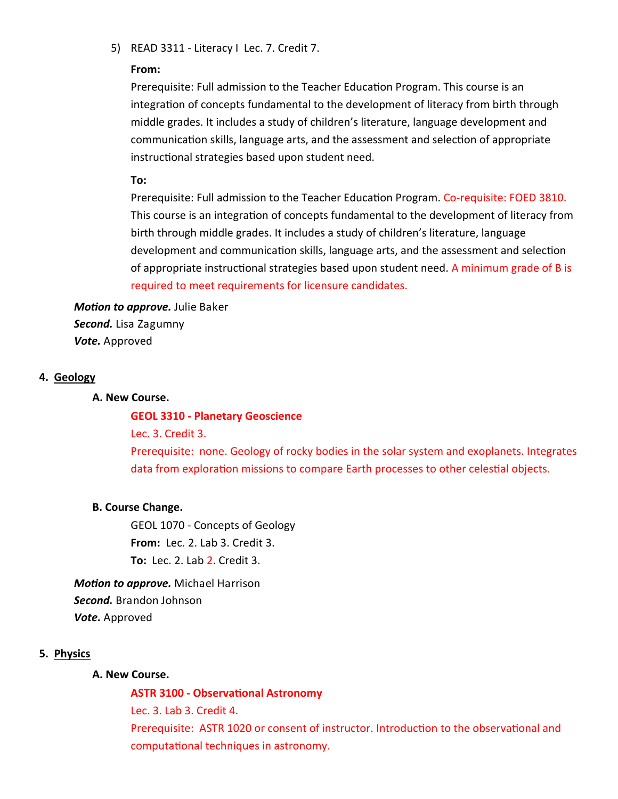5) READ 3311 - Literacy I Lec. 7. Credit 7.

#### **From:**

Prerequisite: Full admission to the Teacher Education Program. This course is an integration of concepts fundamental to the development of literacy from birth through middle grades. It includes a study of children's literature, language development and communication skills, language arts, and the assessment and selection of appropriate instructional strategies based upon student need.

**To:** 

Prerequisite: Full admission to the Teacher Education Program. Co-requisite: FOED 3810. This course is an integration of concepts fundamental to the development of literacy from birth through middle grades. It includes a study of children's literature, language development and communication skills, language arts, and the assessment and selection of appropriate instructional strategies based upon student need. A minimum grade of B is required to meet requirements for licensure candidates.

**Motion to approve.** Julie Baker *Second.* Lisa Zagumny *Vote.* Approved

### **4. Geology**

#### **A. New Course.**

#### **GEOL 3310 ‐ Planetary Geoscience**

Lec. 3. Credit 3.

Prerequisite: none. Geology of rocky bodies in the solar system and exoplanets. Integrates data from exploration missions to compare Earth processes to other celestial objects.

#### **B. Course Change.**

GEOL 1070 ‐ Concepts of Geology **From:** Lec. 2. Lab 3. Credit 3. **To:** Lec. 2. Lab 2. Credit 3.

*Motion to approve.* Michael Harrison *Second.* Brandon Johnson *Vote.* Approved

# **5. Physics**

#### **A. New Course.**

**ASTR 3100 ‐ ObservaƟonal Astronomy** 

Lec. 3. Lab 3. Credit 4.

Prerequisite: ASTR 1020 or consent of instructor. Introduction to the observational and computational techniques in astronomy.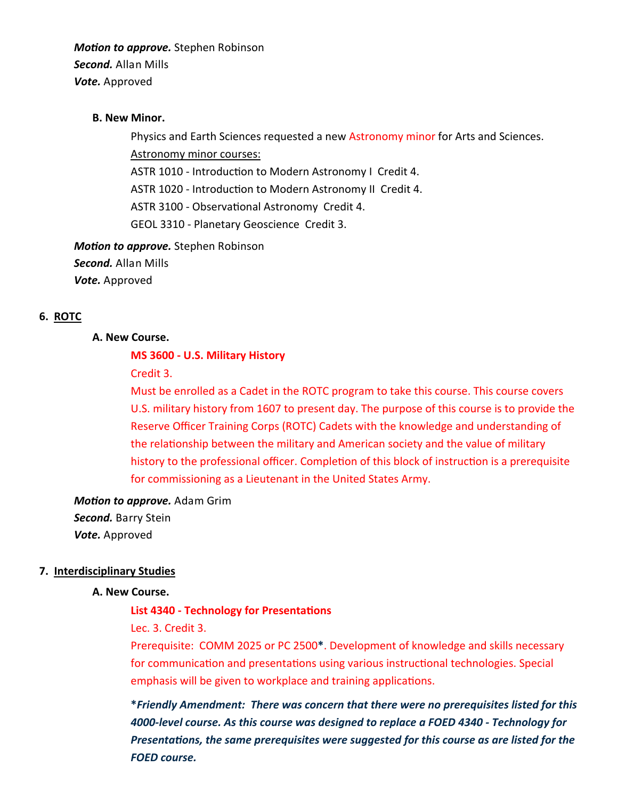*Motion to approve.* Stephen Robinson *Second.* Allan Mills *Vote.* Approved

#### **B. New Minor.**

Physics and Earth Sciences requested a new Astronomy minor for Arts and Sciences. Astronomy minor courses: ASTR 1010 - Introduction to Modern Astronomy I Credit 4. ASTR 1020 - Introduction to Modern Astronomy II Credit 4. ASTR 3100 - Observational Astronomy Credit 4. GEOL 3310 ‐ Planetary Geoscience Credit 3.

*Motion to approve.* Stephen Robinson *Second.* Allan Mills *Vote.* Approved

#### **6. ROTC**

#### **A. New Course.**

#### **MS 3600 ‐ U.S. Military History**

Credit 3.

Must be enrolled as a Cadet in the ROTC program to take this course. This course covers U.S. military history from 1607 to present day. The purpose of this course is to provide the Reserve Officer Training Corps (ROTC) Cadets with the knowledge and understanding of the relationship between the military and American society and the value of military history to the professional officer. Completion of this block of instruction is a prerequisite for commissioning as a Lieutenant in the United States Army.

*Motion to approve.* Adam Grim *Second.* Barry Stein *Vote.* Approved

#### **7. Interdisciplinary Studies**

#### **A. New Course.**

#### **List 4340 ‐ Technology for PresentaƟons**

Lec. 3. Credit 3.

Prerequisite: COMM 2025 or PC 2500**\***. Development of knowledge and skills necessary for communication and presentations using various instructional technologies. Special emphasis will be given to workplace and training applications.

**\****Friendly Amendment: There was concern that there were no prerequisites listed for this 4000‐level course. As this course was designed to replace a FOED 4340 ‐ Technology for Presentations, the same prerequisites were suggested for this course as are listed for the FOED course.*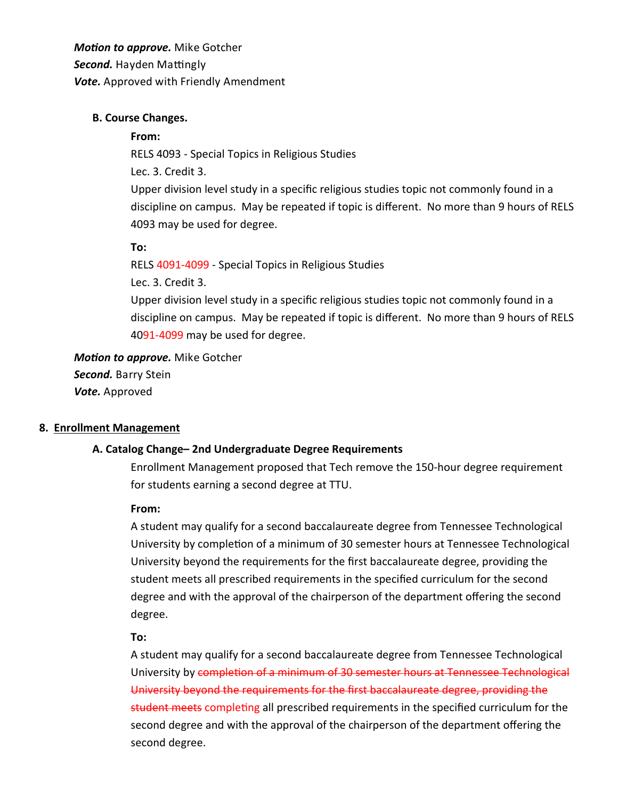*Motion to approve.* Mike Gotcher **Second.** Hayden Mattingly *Vote.* Approved with Friendly Amendment

### **B. Course Changes.**

### **From:**

RELS 4093 ‐ Special Topics in Religious Studies Lec. 3. Credit 3. Upper division level study in a specific religious studies topic not commonly found in a discipline on campus. May be repeated if topic is different. No more than 9 hours of RELS 4093 may be used for degree.

### **To:**

RELS 4091‐4099 ‐ Special Topics in Religious Studies

Lec. 3. Credit 3.

Upper division level study in a specific religious studies topic not commonly found in a discipline on campus. May be repeated if topic is different. No more than 9 hours of RELS 4091‐4099 may be used for degree.

### *Motion to approve.* Mike Gotcher

*Second.* Barry Stein *Vote.* Approved

# **8. Enrollment Management**

# **A. Catalog Change– 2nd Undergraduate Degree Requirements**

Enrollment Management proposed that Tech remove the 150‐hour degree requirement for students earning a second degree at TTU.

#### **From:**

A student may qualify for a second baccalaureate degree from Tennessee Technological University by completion of a minimum of 30 semester hours at Tennessee Technological University beyond the requirements for the first baccalaureate degree, providing the student meets all prescribed requirements in the specified curriculum for the second degree and with the approval of the chairperson of the department offering the second degree.

#### **To:**

A student may qualify for a second baccalaureate degree from Tennessee Technological University by completion of a minimum of 30 semester hours at Tennessee Technological University beyond the requirements for the first baccalaureate degree, providing the student meets completing all prescribed requirements in the specified curriculum for the second degree and with the approval of the chairperson of the department offering the second degree.